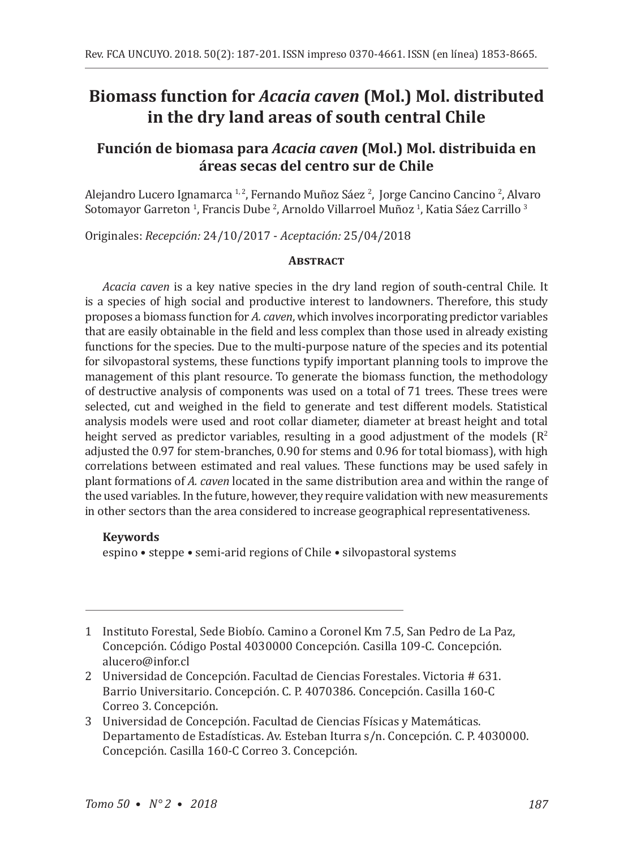# **Biomass function for** *Acacia caven* **(Mol.) Mol. distributed in the dry land areas of south central Chile**

## **Función de biomasa para** *Acacia caven* **(Mol.) Mol. distribuida en áreas secas del centro sur de Chile**

Alejandro Lucero Ignamarca 1,2, Fernando Muñoz Sáez 2, Jorge Cancino Cancino 2, Alvaro Sotomayor Garreton <sup>I</sup>, Francis Dube <sup>2</sup>, Arnoldo Villarroel Muñoz <sup>1</sup>, Katia Sáez Carrillo <sup>3</sup>

Originales: *Recepción:* 24/10/2017 - *Aceptación:* 25/04/2018

### **ABSTRACT**

*Acacia caven* is a key native species in the dry land region of south-central Chile. It is a species of high social and productive interest to landowners. Therefore, this study proposes a biomass function for *A. caven*, which involves incorporating predictor variables that are easily obtainable in the field and less complex than those used in already existing functions for the species. Due to the multi-purpose nature of the species and its potential for silvopastoral systems, these functions typify important planning tools to improve the management of this plant resource. To generate the biomass function, the methodology of destructive analysis of components was used on a total of 71 trees. These trees were selected, cut and weighed in the field to generate and test different models. Statistical analysis models were used and root collar diameter, diameter at breast height and total height served as predictor variables, resulting in a good adjustment of the models  $\mathbb{R}^2$ adjusted the 0.97 for stem-branches, 0.90 for stems and 0.96 for total biomass), with high correlations between estimated and real values. These functions may be used safely in plant formations of *A. caven* located in the same distribution area and within the range of the used variables. In the future, however, they require validation with new measurements in other sectors than the area considered to increase geographical representativeness.

### **Keywords**

espino • steppe • semi-arid regions of Chile • silvopastoral systems

- 1 Instituto Forestal, Sede Biobío. Camino a Coronel Km 7.5, San Pedro de La Paz, Concepción. Código Postal 4030000 Concepción. Casilla 109-C. Concepción. alucero@infor.cl
- 2 Universidad de Concepción. Facultad de Ciencias Forestales. Victoria # 631. Barrio Universitario. Concepción. C. P. 4070386. Concepción. Casilla 160-C Correo 3. Concepción.
- 3 Universidad de Concepción. Facultad de Ciencias Físicas y Matemáticas. Departamento de Estadísticas. Av. Esteban Iturra s/n. Concepción. C. P. 4030000. Concepción. Casilla 160-C Correo 3. Concepción.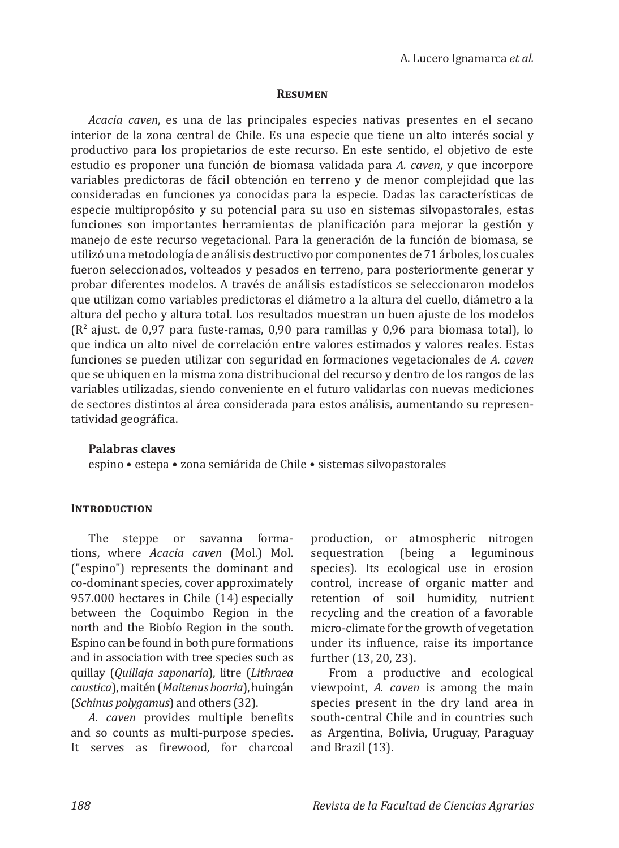#### **Resumen**

*Acacia caven*, es una de las principales especies nativas presentes en el secano interior de la zona central de Chile. Es una especie que tiene un alto interés social y productivo para los propietarios de este recurso. En este sentido, el objetivo de este estudio es proponer una función de biomasa validada para *A. caven*, y que incorpore variables predictoras de fácil obtención en terreno y de menor complejidad que las consideradas en funciones ya conocidas para la especie. Dadas las características de especie multipropósito y su potencial para su uso en sistemas silvopastorales, estas funciones son importantes herramientas de planificación para mejorar la gestión y manejo de este recurso vegetacional. Para la generación de la función de biomasa, se utilizó una metodología de análisis destructivo por componentes de 71 árboles, los cuales fueron seleccionados, volteados y pesados en terreno, para posteriormente generar y probar diferentes modelos. A través de análisis estadísticos se seleccionaron modelos que utilizan como variables predictoras el diámetro a la altura del cuello, diámetro a la altura del pecho y altura total. Los resultados muestran un buen ajuste de los modelos (R2 ajust. de 0,97 para fuste-ramas, 0,90 para ramillas y 0,96 para biomasa total), lo que indica un alto nivel de correlación entre valores estimados y valores reales. Estas funciones se pueden utilizar con seguridad en formaciones vegetacionales de *A. caven* que se ubiquen en la misma zona distribucional del recurso y dentro de los rangos de las variables utilizadas, siendo conveniente en el futuro validarlas con nuevas mediciones de sectores distintos al área considerada para estos análisis, aumentando su representatividad geográfica.

### **Palabras claves**

espino • estepa • zona semiárida de Chile • sistemas silvopastorales

### **Introduction**

The steppe or savanna formations, where *Acacia caven* (Mol.) Mol. ("espino") represents the dominant and co-dominant species, cover approximately 957.000 hectares in Chile (14) especially between the Coquimbo Region in the north and the Biobío Region in the south. Espino can be found in both pure formations and in association with tree species such as quillay (*Quillaja saponaria*), litre (*Lithraea caustica*), maitén (*Maitenus boaria*), huingán (*Schinus polygamus*) and others (32).

*A. caven* provides multiple benefits and so counts as multi-purpose species. It serves as firewood, for charcoal production, or atmospheric nitrogen sequestration (being a leguminous species). Its ecological use in erosion control, increase of organic matter and retention of soil humidity, nutrient recycling and the creation of a favorable micro-climate for the growth of vegetation under its influence, raise its importance further (13, 20, 23).

From a productive and ecological viewpoint, *A. caven* is among the main species present in the dry land area in south-central Chile and in countries such as Argentina, Bolivia, Uruguay, Paraguay and Brazil (13).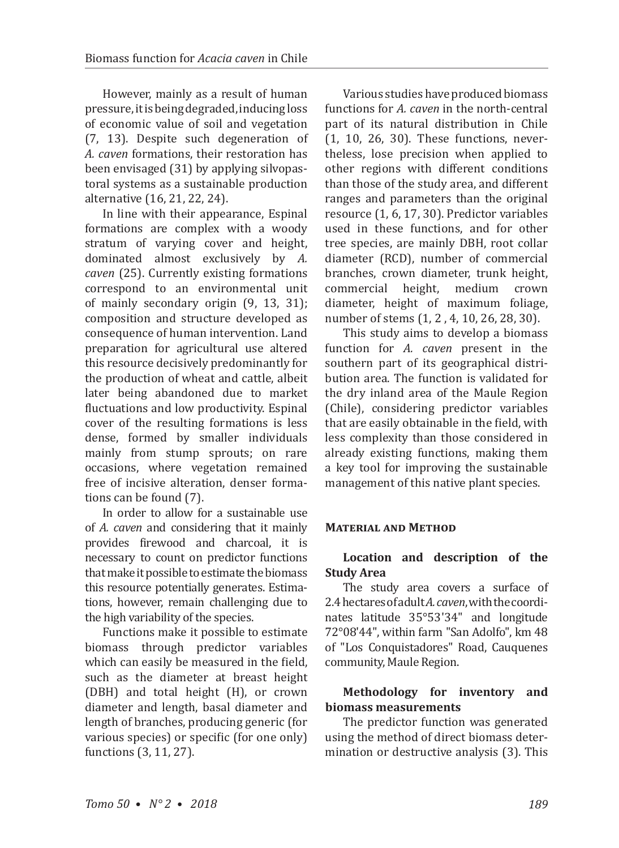However, mainly as a result of human pressure, it is being degraded, inducing loss of economic value of soil and vegetation (7, 13). Despite such degeneration of *A. caven* formations, their restoration has been envisaged (31) by applying silvopastoral systems as a sustainable production alternative (16, 21, 22, 24).

In line with their appearance, Espinal formations are complex with a woody stratum of varying cover and height, dominated almost exclusively by *A. caven* (25). Currently existing formations correspond to an environmental unit of mainly secondary origin (9, 13, 31); composition and structure developed as consequence of human intervention. Land preparation for agricultural use altered this resource decisively predominantly for the production of wheat and cattle, albeit later being abandoned due to market fluctuations and low productivity. Espinal cover of the resulting formations is less dense, formed by smaller individuals mainly from stump sprouts; on rare occasions, where vegetation remained free of incisive alteration, denser formations can be found (7).

In order to allow for a sustainable use of *A. caven* and considering that it mainly provides firewood and charcoal, it is necessary to count on predictor functions that make it possible to estimate the biomass this resource potentially generates. Estimations, however, remain challenging due to the high variability of the species.

Functions make it possible to estimate biomass through predictor variables which can easily be measured in the field, such as the diameter at breast height (DBH) and total height (H), or crown diameter and length, basal diameter and length of branches, producing generic (for various species) or specific (for one only) functions (3, 11, 27).

Various studies have produced biomass functions for *A. caven* in the north-central part of its natural distribution in Chile (1, 10, 26, 30). These functions, nevertheless, lose precision when applied to other regions with different conditions than those of the study area, and different ranges and parameters than the original resource (1, 6, 17, 30). Predictor variables used in these functions, and for other tree species, are mainly DBH, root collar diameter (RCD), number of commercial branches, crown diameter, trunk height, commercial height, medium crown diameter, height of maximum foliage, number of stems  $(1, 2, 4, 10, 26, 28, 30)$ .

This study aims to develop a biomass function for *A. caven* present in the southern part of its geographical distribution area. The function is validated for the dry inland area of the Maule Region (Chile), considering predictor variables that are easily obtainable in the field, with less complexity than those considered in already existing functions, making them a key tool for improving the sustainable management of this native plant species.

### **Material and Method**

### **Location and description of the Study Area**

The study area covers a surface of 2.4 hectares of adult *A. caven*, with the coordinates latitude 35°53'34" and longitude 72°08'44", within farm "San Adolfo", km 48 of "Los Conquistadores" Road, Cauquenes community, Maule Region.

### **Methodology for inventory and biomass measurements**

The predictor function was generated using the method of direct biomass determination or destructive analysis (3). This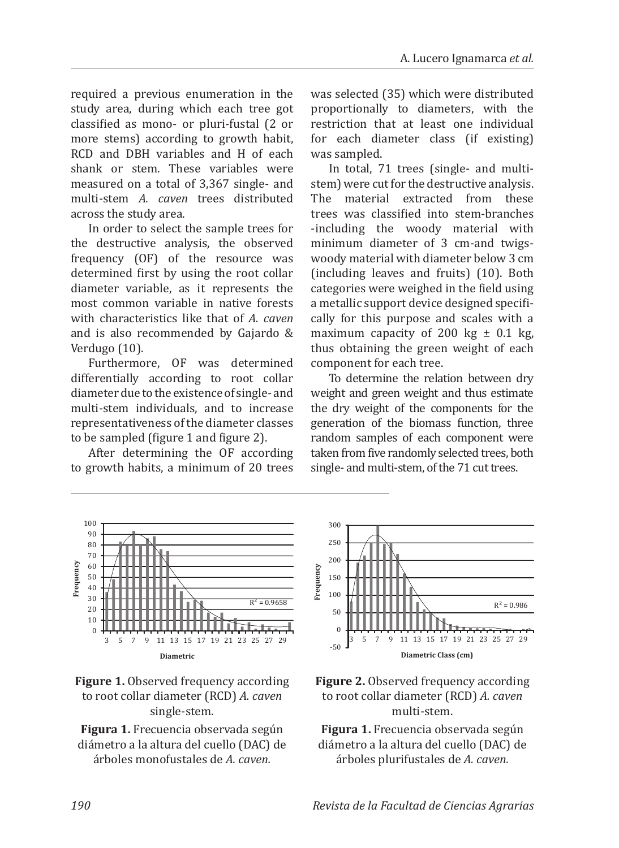required a previous enumeration in the study area, during which each tree got classified as mono- or pluri-fustal (2 or more stems) according to growth habit, RCD and DBH variables and H of each shank or stem. These variables were measured on a total of 3,367 single- and multi-stem *A. caven* trees distributed across the study area.

In order to select the sample trees for the destructive analysis, the observed frequency (OF) of the resource was determined first by using the root collar diameter variable, as it represents the most common variable in native forests with characteristics like that of *A. caven* and is also recommended by Gajardo & Verdugo (10).

Furthermore, OF was determined differentially according to root collar diameter due to the existence of single- and multi-stem individuals, and to increase representativeness of the diameter classes to be sampled (figure 1 and figure 2).

After determining the OF according to growth habits, a minimum of 20 trees

was selected (35) which were distributed proportionally to diameters, with the restriction that at least one individual for each diameter class (if existing) was sampled.

In total, 71 trees (single- and multistem) were cut for the destructive analysis. The material extracted from these trees was classified into stem-branches -including the woody material with minimum diameter of 3 cm-and twigswoody material with diameter below 3 cm (including leaves and fruits) (10). Both categories were weighed in the field using a metallic support device designed specifically for this purpose and scales with a maximum capacity of 200 kg  $\pm$  0.1 kg, thus obtaining the green weight of each component for each tree.

To determine the relation between dry weight and green weight and thus estimate the dry weight of the components for the generation of the biomass function, three random samples of each component were taken from five randomly selected trees, both single- and multi-stem, of the 71 cut trees.





**Figura 1.** Frecuencia observada según diámetro a la altura del cuello (DAC) de árboles monofustales de *A. caven.*





**Figura 1.** Frecuencia observada según diámetro a la altura del cuello (DAC) de árboles plurifustales de *A. caven.*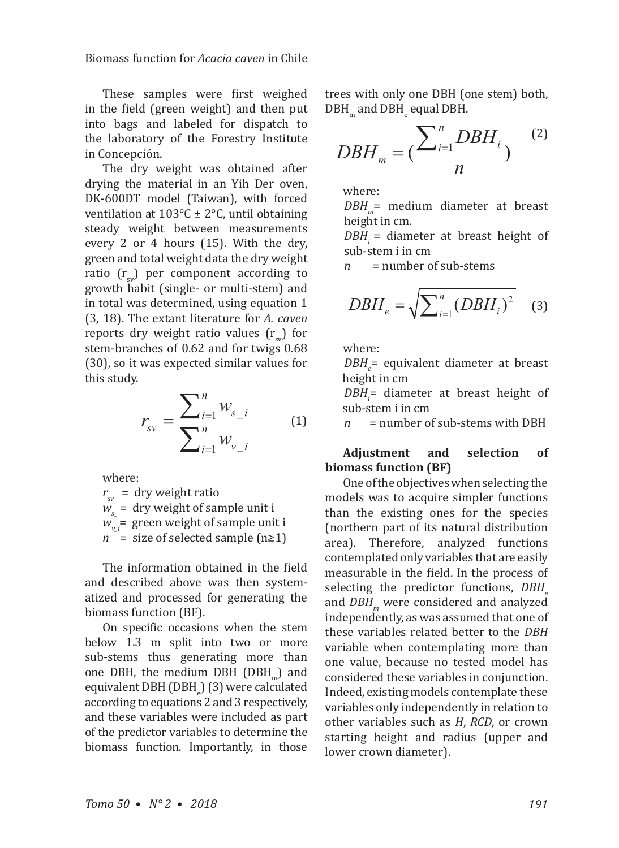These samples were first weighed in the field (green weight) and then put into bags and labeled for dispatch to the laboratory of the Forestry Institute in Concepción.

The dry weight was obtained after drying the material in an Yih Der oven, DK-600DT model (Taiwan), with forced ventilation at 103°C ± 2°C, until obtaining steady weight between measurements every 2 or 4 hours (15). With the dry, green and total weight data the dry weight ratio  $(r_{\alpha})$  per component according to growth habit (single- or multi-stem) and in total was determined, using equation 1 (3, 18). The extant literature for *A. caven* reports dry weight ratio values  $(r_{w})$  for stem-branches of 0.62 and for twigs 0.68 (30), so it was expected similar values for this study.

$$
r_{sv} = \frac{\sum_{i=1}^{n} w_{s_i}}{\sum_{i=1}^{n} w_{v_i}} \qquad (1)
$$

where:

 $r_{\rm sv}$  = dry weight ratio *ws\_* = dry weight of sample unit i  $W_{\nu}$ <sup>=</sup> green weight of sample unit i  $n =$  size of selected sample (n≥1)

The information obtained in the field and described above was then systematized and processed for generating the biomass function (BF).

On specific occasions when the stem below 1.3 m split into two or more sub-stems thus generating more than one DBH, the medium DBH (DBH<sub>m</sub>) and equivalent DBH (DBH<sub>e</sub>) (3) were calculated according to equations 2 and 3 respectively, and these variables were included as part of the predictor variables to determine the biomass function. Importantly, in those

trees with only one DBH (one stem) both,  $DBH_{\scriptscriptstyle m}$  and  $DBH_{\scriptscriptstyle e}$  equal DBH.

$$
DBH_m = \left(\frac{\sum_{i=1}^{n} DBH_i}{n}\right)^{(2)}
$$

where:

*DBH*<sub>m</sub>= medium diameter at breast height in cm.

*DBH<sub>i</sub>* = diameter at breast height of sub-stem i in cm<br> $n =$ number c

*n* = number of sub-stems

$$
DBH_e = \sqrt{\sum_{i=1}^{n} (DBH_i)^2}
$$
 (3)

where:

*DBH*<sub>e</sub>= equivalent diameter at breast height in cm

DBH<sub>i</sub>= diameter at breast height of sub-stem i in cm<br> $n =$ number o

*n* = number of sub-stems with DBH

**Adjustment and selection of biomass function (BF)**

One of the objectives when selecting the models was to acquire simpler functions than the existing ones for the species (northern part of its natural distribution area). Therefore, analyzed functions contemplated only variables that are easily measurable in the field. In the process of selecting the predictor functions, *DBH* and *DBH<sub>m</sub>* were considered and analyzed independently, as was assumed that one of these variables related better to the *DBH*  variable when contemplating more than one value, because no tested model has considered these variables in conjunction. Indeed, existing models contemplate these variables only independently in relation to other variables such as *H*, *RCD*, or crown starting height and radius (upper and lower crown diameter).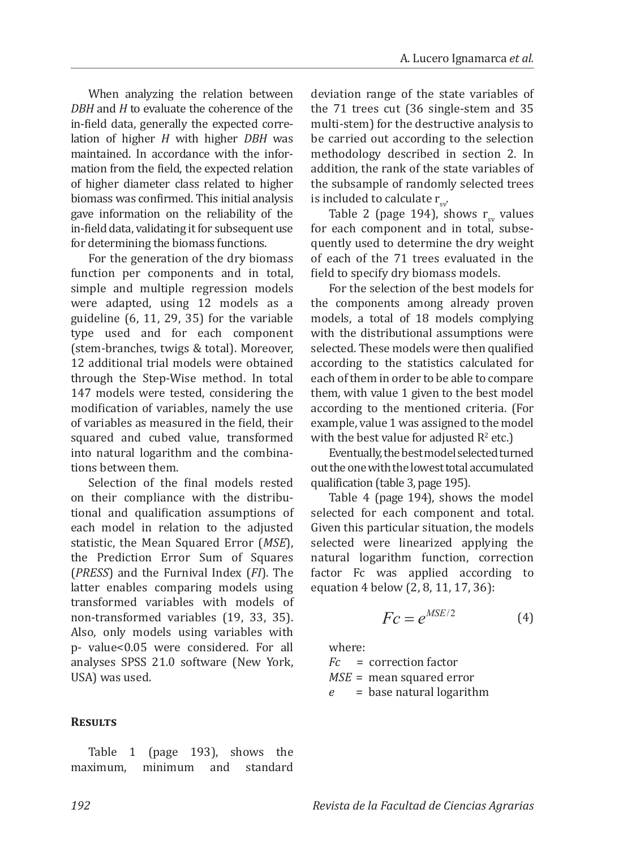When analyzing the relation between *DBH* and *H* to evaluate the coherence of the in-field data, generally the expected correlation of higher *H* with higher *DBH* was maintained. In accordance with the information from the field, the expected relation of higher diameter class related to higher biomass was confirmed. This initial analysis gave information on the reliability of the in-field data, validating it for subsequent use for determining the biomass functions.

For the generation of the dry biomass function per components and in total, simple and multiple regression models were adapted, using 12 models as a guideline (6, 11, 29, 35) for the variable type used and for each component (stem-branches, twigs & total). Moreover, 12 additional trial models were obtained through the Step-Wise method. In total 147 models were tested, considering the modification of variables, namely the use of variables as measured in the field, their squared and cubed value, transformed into natural logarithm and the combinations between them.

Selection of the final models rested on their compliance with the distributional and qualification assumptions of each model in relation to the adjusted statistic, the Mean Squared Error (*MSE*), the Prediction Error Sum of Squares (*PRESS*) and the Furnival Index (*FI*). The latter enables comparing models using transformed variables with models of non-transformed variables (19, 33, 35). Also, only models using variables with p- value<0.05 were considered. For all analyses SPSS 21.0 software (New York, USA) was used.

### **Results**

Table 1 (page 193), shows the maximum, minimum and standard deviation range of the state variables of the 71 trees cut (36 single-stem and 35 multi-stem) for the destructive analysis to be carried out according to the selection methodology described in section 2. In addition, the rank of the state variables of the subsample of randomly selected trees is included to calculate  $r_{\rm sv}$ .

Table 2 (page 194), shows  $r_{\rm sv}$  values for each component and in total, subsequently used to determine the dry weight of each of the 71 trees evaluated in the field to specify dry biomass models.

For the selection of the best models for the components among already proven models, a total of 18 models complying with the distributional assumptions were selected. These models were then qualified according to the statistics calculated for each of them in order to be able to compare them, with value 1 given to the best model according to the mentioned criteria. (For example, value 1 was assigned to the model with the best value for adjusted  $R^2$  etc.)

Eventually, the best model selected turned out the one with the lowest total accumulated qualification (table 3, page 195).

Table 4 (page 194), shows the model selected for each component and total. Given this particular situation, the models selected were linearized applying the natural logarithm function, correction factor Fc was applied according to equation 4 below (2, 8, 11, 17, 36):

$$
Fc = e^{MSE/2} \tag{4}
$$

where:<br> $Fc =$ 

 $=$  correction factor *MSE* = mean squared error *e* = base natural logarithm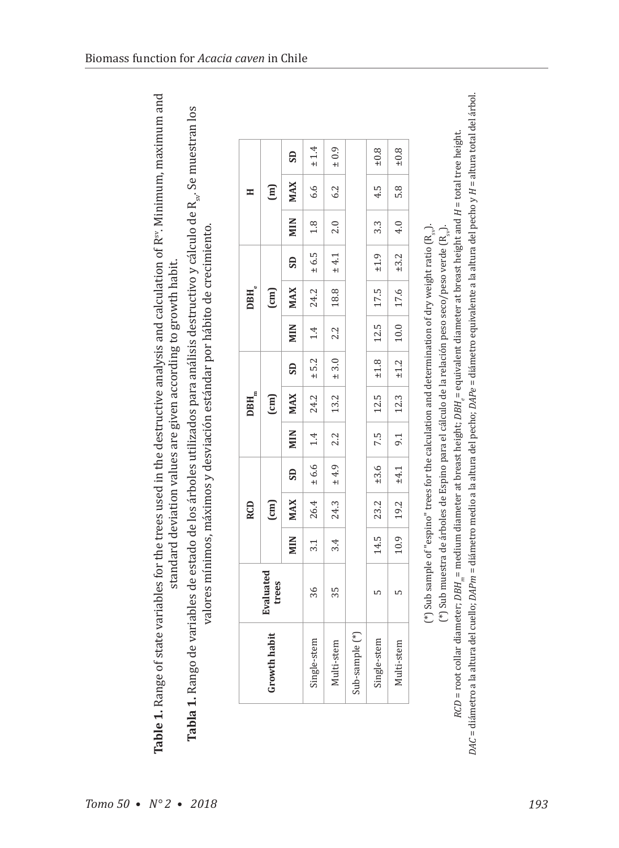$\mathbb F^3$ <br>and a clauding of state variables for the trees used in the destructive analysis and calculation of  $\mathbb R^n$ . Minimum, maximum and<br> $\mathbb F^3$  and  $\mathbb F^3$  . Range of state variables for the trees used in the destruc Table 1. Range of state variables for the trees used in the destructive analysis and calculation of R<sup>sv</sup>. Minimum, maximum and standard deviation values are given according to growth habit.

Tabla 1. Rango de variables de estado de los árboles utilizados para análisis destructivo y cálculo de R<sub>st</sub>. Se muestran los valores mínimos, máximos y desviación estándar por hábito de crecimiento

|                           |      | <b>RCD</b> |                        |        | $\mathbf{DBH}_{_{\mathrm{m}}}$                         |                        |            | $\mathbf{DBH}_{\mathrm{e}}$ |                        |                  | Ξ             |           |
|---------------------------|------|------------|------------------------|--------|--------------------------------------------------------|------------------------|------------|-----------------------------|------------------------|------------------|---------------|-----------|
| <b>Evaluated</b><br>trees |      | [cm]       |                        |        | $\begin{pmatrix} \text{cm} \\ \text{cm} \end{pmatrix}$ |                        |            | $\boxed{\text{cm}}$         |                        |                  | $\widehat{E}$ |           |
|                           | MIN  | <b>MAX</b> | $\overline{\text{SD}}$ | MIN    | MAX                                                    | $\overline{\text{SD}}$ | <b>MIN</b> | <b>MAX</b>                  | $\overline{\text{SD}}$ | <b>MIN</b>       | <b>MAX</b>    | <b>GS</b> |
| 36                        | 3.1  | 26.4       | $\pm$ 6.6              | $1.4$  | 24.2                                                   | $\pm$ 5.2              | $1.4\,$    | 24.2                        | ± 6.5                  | 1.8              | 6.6           | $\pm$ 1.4 |
| 35                        | 3.4  | 24.3       | $\pm 4.9$              | 2.2    | 13.2                                                   | $\pm 3.0$              | 2.2        | 18.8                        | $\pm$ 4.1              | 2.0              | 6.2           | $\pm$ 0.9 |
|                           |      |            |                        |        |                                                        |                        |            |                             |                        |                  |               |           |
| S                         | 14.5 | 23.2       | ±3.6                   | $-7.5$ | $\boxed{12.5}$                                         | $-1.8$                 | $12.5$     | 17.5                        | $\pm 1.9$              | $3.\overline{3}$ | 4.5           | $\pm 0.8$ |
| ഥ                         | 10.9 | 19.2       | ±4.1                   | 9.1    | 12.3                                                   | $\pm 1.2$              | $10.0\,$   | 17.6                        | ±3.2                   | 4.0              | 5.8           | $\pm 0.8$ |

DAC = diámetro a la altura del cuello; DAPm = diámetro medio a la altura del pecho; DAPe = diámetro equivalente a la altura del pecho y H = altura total del árbol. RCD = root collar diameter;  $DBH_m$ = medium diameter at breast height;  $DBH_s$ = equivalent diameter at breast height and  $H$  = total tree height. *RCD* = root collar diameter; *DBH*  $_m$ = medium diameter at breast height; *DBH*  $_s$ = equivalent diameter at breast height and *H* = total tree height. (\*) Sub muestra de árboles de Espino para el cálculo de la relación peso seco/peso verde (R<sub>ea</sub>).  $(*)$  Sub sample of "espino" trees for the calculation and determination of dry weight ratio  $(R_{\ldots}).$ (\*) Sub sample of "espino" trees for the calculation and determination of dry weight ratio (R $_{\rm s}$ ). (\*) Sub muestra de árboles de Espino para el cálculo de la relación peso seco/peso verde  $(\mathrm{R}_{\mathrm{u}})$ .

*DAC* = diámetro a la altura del cuello; *DAPm* = diámetro medio a la altura del pecho; *DAPe* = diámetro equivalente a la altura del pecho y *H* = altura total del árbol.

Biomass function for *Acacia caven* in Chile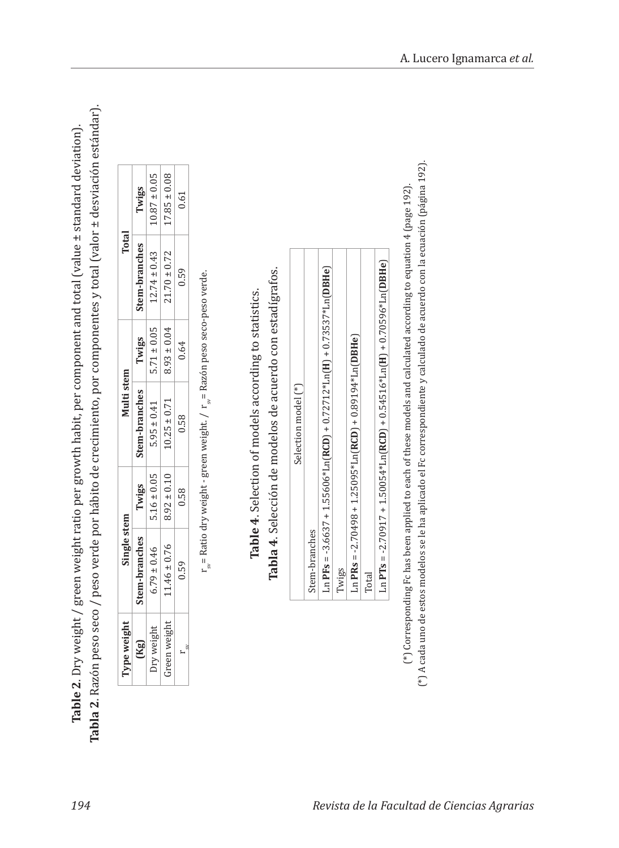| ׅׅ֧֚֚֚֚֚֚֚֚֚֚֚֚֚֚֚֚֡֡֡֡֡֜֓֡֡֡֡֓֡֡֬<br>I<br>;<br>;<br>いわし<br>hit non<br>I<br>,<br>í | ;<br>र<br>i<br>ί<br>ı<br>ļ<br>c<br>scsc<br>֧֧֦֧ׅ֧ׅ֧ׅ֧֧֧ׅ֧ׅ֧֧֧֧֧֚֚֚֚֚֚֚֚֚֚֚֚֚֚֚֚֚֚֚֚֚֚֡֕֝֓֜֓֜֓֝֓֝֓֜֜֓֝֬֝֓֝֬<br>$-22.7$<br>i<br>!<br>;<br>S<br>20<br>ì<br>j |
|------------------------------------------------------------------------------------|-----------------------------------------------------------------------------------------------------------------------------------------------------------|
| ;<br>.<br>Str                                                                      | $\frac{1}{\epsilon}$                                                                                                                                      |
| l<br>!<br>.<br>able<br>i                                                           | ۔<br>،<br>こくにく<br>ï<br>l<br>$\overline{\phantom{a}}$<br>t<br>ı<br>Ĭ<br>$\sim$<br>ś<br>l                                                                   |

| ype weigh  | <b>Single stem</b> |                   | Viulti stem      |                 | Total            |                  |
|------------|--------------------|-------------------|------------------|-----------------|------------------|------------------|
| (Kg)       | tem-branches       | Twigs             | item-branches    | Twigs           | stem-branches    | Twigs            |
| Iry weigh. | $5.79 \pm 0.46$    | $5.16 \pm 0.05$   | $5.95 \pm 0.41$  | $5.71 \pm 0.05$ | $12.74 \pm 0.43$ | $10.87 \pm 0.05$ |
| reen weigh | $1.46 \pm 0.76$    | $0.116$<br>$0.16$ | $10.25 \pm 0.71$ | $9.93 \pm 0.04$ | $21.70 \pm 0.72$ | $17.85 \pm 0.08$ |
| ă          | 0.59               | 0.58              | 0.58             | 0.64            | 0.59             | 0.61             |

 $\mathbf{r}_{\mathrm{sr}}$  Ratio dry weight- green weight /  $\mathbf{r}_{\mathrm{sr}}$  Razón peso seco-peso verde.  $s_{\text{w}}$ = Ratio dry weight - green weight. / r $s_{\text{w}}$ = Razón peso seco-peso verde.

Tabla 4. Selección de modelos de acuerdo con estadígrafos. **Tabla 4**. Selección de modelos de acuerdo con estadígrafos. Table 4. Selection of models according to statistics. **Table 4**. Selection of models according to statistics.

| Selection model (*)                                                                                                                |
|------------------------------------------------------------------------------------------------------------------------------------|
| Stem-branches                                                                                                                      |
| $\text{Ln}$ PFs = -3.6637 + 1.55606* $\text{Ln}(\text{RCD})$ + 0.72712* $\text{Ln}(\text{H})$ + 0.73537* $\text{Ln}(\text{DBHe})$  |
| Twigs                                                                                                                              |
| $Ln$ PRs = -2.70498 + 1.25095* $Ln(RCD)$ + 0.89194* $Ln(DBHe)$                                                                     |
| Total                                                                                                                              |
| $\text{Ln}$ PTs = -2.70917 + 1.50054* $\text{Ln}(\text{RCD})$ + 0.54516* $\text{Ln}(\text{H})$ + 0.70596* $\text{Ln}(\text{DBHe})$ |

(\*) A cada uno de estos modelos se le ha aplicado el Fc correspondiente y calculado de acuerdo con la ecuación (página 192). (\*) A cada uno de estos modelos se le ha aplicado el Fc correspondiente y calculado de acuerdo con la ecuación (página 192). (\*) Corresponding Fc has been applied to each of these models and calculated according to equation 4 (page 192). (\*) Corresponding Fc has been applied to each of these models and calculated according to equation 4 (page 192).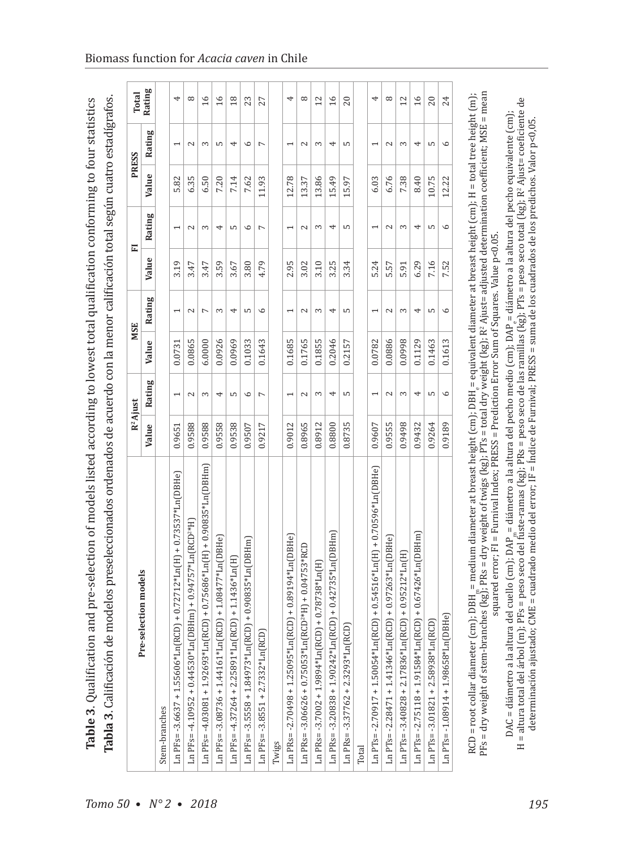|                                                                                 |        | $R^2$ Ajust              |        | MSE            |       | E       | <b>PRESS</b> |                          | <b>Total</b>    |
|---------------------------------------------------------------------------------|--------|--------------------------|--------|----------------|-------|---------|--------------|--------------------------|-----------------|
| Pre-selection models                                                            | Value  | Rating                   | Value  | Rating         | Value | Rating  | Value        | Rating                   | Rating          |
| Stem-branches                                                                   |        |                          |        |                |       |         |              |                          |                 |
| Ln PFs= -3.6637 + 1.55606*Ln(RCD) + 0.72712*Ln(H) + 0.73537*Ln(DBHe)            | 0.9651 | $\overline{ }$           | 0.0731 |                | 3.19  |         | 5.82         | $\overline{ }$           |                 |
| Ln PFs= -4.10952 + 0.44530*Ln(DBHm) + 0.94757*Ln(RCD <sup>2*</sup> H)           | 0.9588 | 2                        | 0.0865 | $\sim$         | 3.47  | 2       | 6.35         | 2                        |                 |
| Ln PFs= -4.03081 + 1.92693*Ln(RCD) + 0.75686*Ln(H) + 0.90835*Ln(DBHm)           | 0.9588 | 3                        | 6.0000 | $\overline{ }$ | 3.47  | 3       | 6.50         | 3                        | $\overline{16}$ |
| Ln PFs= -3.08736 + 1.44161*Ln(RCD) + 1.08477*Ln(DBHe)                           | 0.9558 | 4                        | 0.0926 | S              | 3.59  | 4       | 7.20         | LO                       | $\overline{16}$ |
| $\ln$ PFs= -4.37264 + 2.25891*Ln(RCD) + 1.1436*Ln(H)                            | 0.9538 | S                        | 0.0969 | 4              | 3.67  | S       | 7.14         | 4                        | $\frac{18}{2}$  |
| $Ln$ PFs = -3.5558 + 1.84973* $Ln(RCD)$ + 0.90835* $Ln(DBHm)$                   | 0.9507 | $\circ$                  | 0.1033 | LO             | 3.80  | $\circ$ | 7.62         | $\circ$                  | 23              |
| $Ln$ PFs = $-3.8551 + 2.7332*Ln(RCD)$                                           | 0.9217 | $\overline{ }$           | 0.1643 | $\circ$        | 4.79  | Γ       | 11.93        | $\overline{ }$           | 27              |
| Twigs                                                                           |        |                          |        |                |       |         |              |                          |                 |
| $Ln PRs = -2.70498 + 1.25095*Ln(RCD) + 0.89194*Ln(DBHe)$                        | 0.9012 | $\overline{\phantom{0}}$ | 0.1685 |                | 2.95  |         | 12.78        | $\overline{\phantom{0}}$ |                 |
| Ln PRs = -3.06626 + 0.75053*Ln(RCD <sup>2*</sup> H) + 0.04753*RCD               | 0.8965 | 2                        | 0.1765 | $\sim$         | 3.02  | 2       | 13.37        | 2                        |                 |
| Ln PRs= $-3.7002 + 1.9894*$ Ln(RCD) + 0.78738*Ln(H)                             | 0.8912 | 3                        | 0.1855 | S              | 3.10  | 3       | 13.86        | 3                        | 12              |
| $\ln$ PRs = -3.20838 + 1.90242*Ln(RCD) + 0.42735*Ln(DBHm)                       | 0.8800 | 4                        | 0.2046 | 4              | 3.25  | 4       | 15.49        | 4                        | $\frac{6}{2}$   |
| É<br>Ln PRs = $-3.37762 + 2.3293 *$ Ln (RO                                      | 0.8735 | S                        | 0.2157 | S              | 3.34  | S       | 15.97        | LO                       | 20              |
| Total                                                                           |        |                          |        |                |       |         |              |                          |                 |
| Ln PTs= -2.70917 + 1.50054*Ln(RCD) + 0.54516*Ln(H) + 0.70596*Ln(DBHe)           | 0.9607 |                          | 0.0782 |                | 5.24  |         | 6.03         | $\overline{\phantom{0}}$ |                 |
| Ln PTs=-2.28471 + 1.41346*Ln(RCD) + 0.97263*Ln(DBHe)                            | 0.9555 | 2                        | 0.0886 | $\mathbf{C}$   | 5.57  | 2       | 6.76         | $\sim$                   |                 |
| $\ln{\rm PT}$ s= -3.40828 + 2.17836* $\ln({\rm RCD})$ + 0.95212* $\ln({\rm H})$ | 0.9498 | 3                        | 0.0998 | 3              | 5.91  | 3       | 7.38         | 3                        | 12              |
| $\ln PT$ s= -2.75118 + 1.91584* $\ln(RCD)$ + 0.67426* $\ln(DBHm)$               | 0.9432 | 4                        | 0.1129 | 4              | 6.29  | 4       | 8.40         | 4                        | $\overline{16}$ |
| $Ln PTs = -3.01821 + 2.58938*Ln(RCD)$                                           | 0.9264 | S                        | 0.1463 | LO             | 7.16  | S       | 10.75        | LO                       | 20              |
| $Ln$ PTs= $-1.08914 + 1.98658*Ln(DBHe)$                                         | 0.9189 | $\circ$                  | 0.1613 | $\circ$        | 7.52  | $\circ$ | 12.22        | $\circ$                  | 24              |

Biomass function for *Acacia caven* in Chile

squared error; F1 = Furnival Index; PRESS = Prediction Error Sum of Squares. Value p<0.05. squared error; FI = Furnival Index; PRESS = Prediction Error Sum of Squares. Value p<0.05.

DAC = diámetro a la altura del cuello (cm); DAP <sub>n</sub>= diámetro a la altura del pecho medio (cm); DAP <sub>e</sub>= diámetro a la altura del pecho equivalente (cm);<br>H = altura total del árbol (m); PFs = peso seco del fuste-ramas (kg) H = altura total del árbol (m); PFs = peso seco del fuste-ramas (kg); PRs = peso seco de las ramillas (kg); PTs = peso seco total (kg); R2 Ajust= coeficiente de DAC = diámetro a la altura del cuello (cm); DAP<sub>m</sub>= diámetro a la altura del pecho medio (cm); DAP<sub>i</sub>= diámetro a la altura del pecho equivalente (cm); determinación ajustado; CME = cuadrado medio del error; IF = Índice de Furnival; PRESS = suma de los cuadrados de los predichos. Valor p<0,05.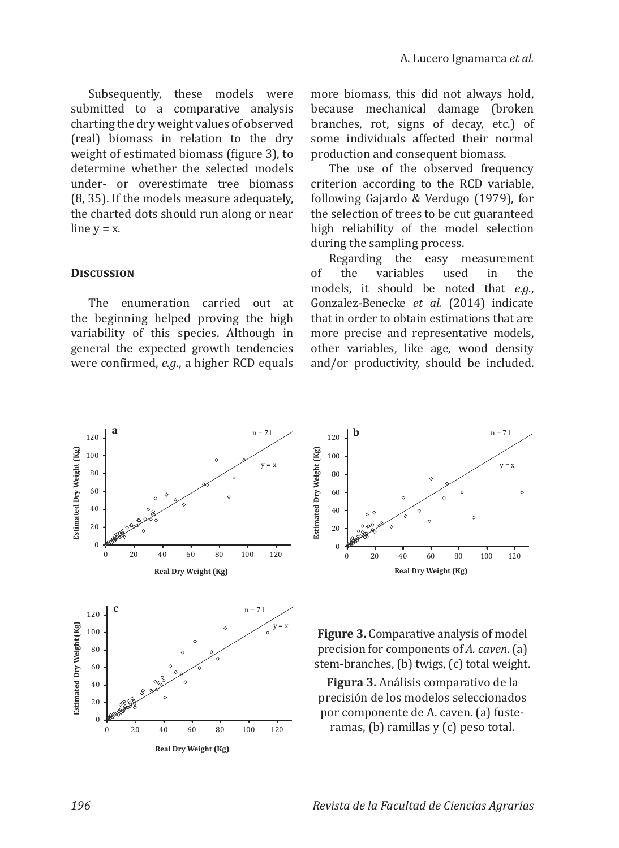Subsequently, these models were submitted to a comparative analysis charting the dry weight values of observed (real) biomass in relation to the dry weight of estimated biomass (figure 3), to determine whether the selected models under- or overestimate tree biomass (8, 35). If the models measure adequately, the charted dots should run along or near line  $v = x$ .

### **Discussion**

The enumeration carried out at the beginning helped proving the high variability of this species. Although in general the expected growth tendencies were confirmed, *e.g*., a higher RCD equals more biomass, this did not always hold, because mechanical damage (broken branches, rot, signs of decay, etc.) of some individuals affected their normal production and consequent biomass.

The use of the observed frequency criterion according to the RCD variable, following Gajardo & Verdugo (1979), for the selection of trees to be cut guaranteed high reliability of the model selection during the sampling process.

Regarding the easy measurement<br>the variables used in the of the variables used in the models, it should be noted that *e.g.*, Gonzalez-Benecke *et al.* (2014) indicate that in order to obtain estimations that are more precise and representative models, other variables, like age, wood density and/or productivity, should be included.





**Figure 3.** Comparative analysis of model precision for components of *A. caven*. (a) stem-branches, (b) twigs, (c) total weight.

**Figura 3.** Análisis comparativo de la precisión de los modelos seleccionados por componente de A. caven. (a) fusteramas, (b) ramillas y (c) peso total.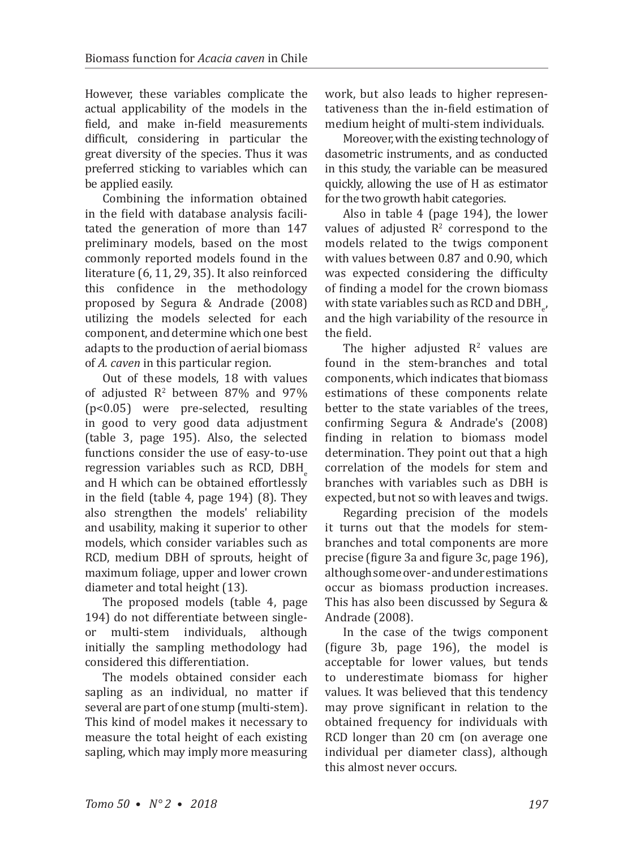However, these variables complicate the actual applicability of the models in the field, and make in-field measurements difficult, considering in particular the great diversity of the species. Thus it was preferred sticking to variables which can be applied easily.

Combining the information obtained in the field with database analysis facilitated the generation of more than 147 preliminary models, based on the most commonly reported models found in the literature (6, 11, 29, 35). It also reinforced this confidence in the methodology proposed by Segura & Andrade (2008) utilizing the models selected for each component, and determine which one best adapts to the production of aerial biomass of *A. caven* in this particular region.

Out of these models, 18 with values of adjusted  $R^2$  between 87% and 97% (p<0.05) were pre-selected, resulting in good to very good data adjustment (table 3, page 195). Also, the selected functions consider the use of easy-to-use regression variables such as RCD, DBH and H which can be obtained effortlessly in the field (table 4, page 194) (8). They also strengthen the models' reliability and usability, making it superior to other models, which consider variables such as RCD, medium DBH of sprouts, height of maximum foliage, upper and lower crown diameter and total height (13).

The proposed models (table 4, page 194) do not differentiate between single-<br>or multi-stem individuals, although multi-stem individuals, initially the sampling methodology had considered this differentiation.

The models obtained consider each sapling as an individual, no matter if several are part of one stump (multi-stem). This kind of model makes it necessary to measure the total height of each existing sapling, which may imply more measuring work, but also leads to higher representativeness than the in-field estimation of medium height of multi-stem individuals.

Moreover, with the existing technology of dasometric instruments, and as conducted in this study, the variable can be measured quickly, allowing the use of H as estimator for the two growth habit categories.

Also in table 4 (page 194), the lower values of adjusted  $\mathbb{R}^2$  correspond to the models related to the twigs component with values between 0.87 and 0.90, which was expected considering the difficulty of finding a model for the crown biomass with state variables such as RCD and  $DBH_{e'}$ , and the high variability of the resource in the field.

The higher adjusted  $R<sup>2</sup>$  values are found in the stem-branches and total components, which indicates that biomass estimations of these components relate better to the state variables of the trees, confirming Segura & Andrade's (2008) finding in relation to biomass model determination. They point out that a high correlation of the models for stem and branches with variables such as DBH is expected, but not so with leaves and twigs.

Regarding precision of the models it turns out that the models for stembranches and total components are more precise (figure 3a and figure 3c, page 196), although some over- and under estimations occur as biomass production increases. This has also been discussed by Segura & Andrade (2008).

In the case of the twigs component (figure 3b, page 196), the model is acceptable for lower values, but tends to underestimate biomass for higher values. It was believed that this tendency may prove significant in relation to the obtained frequency for individuals with RCD longer than 20 cm (on average one individual per diameter class), although this almost never occurs.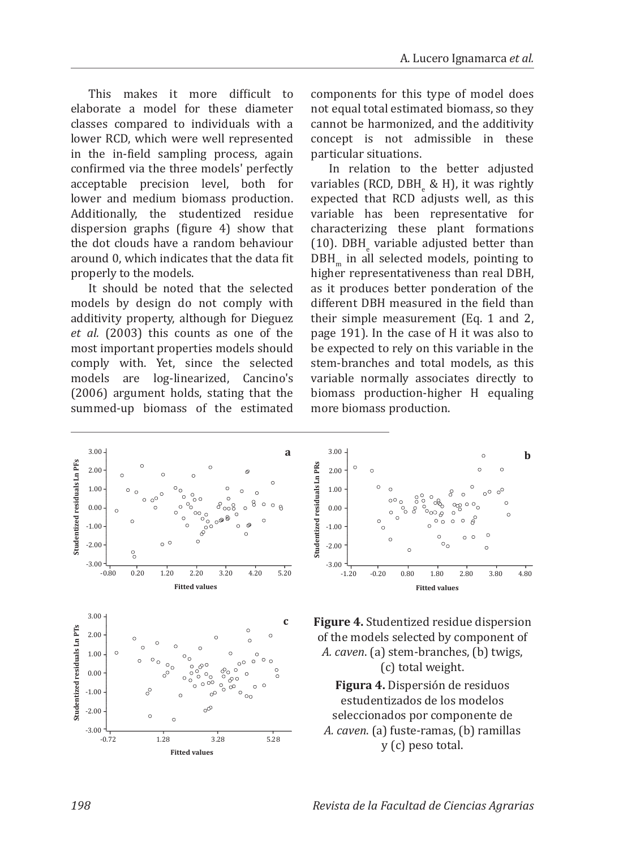This makes it more difficult to elaborate a model for these diameter classes compared to individuals with a lower RCD, which were well represented in the in-field sampling process, again confirmed via the three models' perfectly acceptable precision level, both for lower and medium biomass production. Additionally, the studentized residue dispersion graphs (figure 4) show that the dot clouds have a random behaviour around 0, which indicates that the data fit properly to the models.

It should be noted that the selected models by design do not comply with additivity property, although for Dieguez *et al.* (2003) this counts as one of the most important properties models should comply with. Yet, since the selected models are log-linearized, Cancino's (2006) argument holds, stating that the summed-up biomass of the estimated

components for this type of model does not equal total estimated biomass, so they cannot be harmonized, and the additivity concept is not admissible in these particular situations.

In relation to the better adjusted variables (RCD, DBH<sub>e</sub> & H), it was rightly expected that RCD adjusts well, as this variable has been representative for characterizing these plant formations (10). DBHe variable adjusted better than DBH in all selected models, pointing to higher representativeness than real DBH, as it produces better ponderation of the different DBH measured in the field than their simple measurement (Eq. 1 and 2, page 191). In the case of H it was also to be expected to rely on this variable in the stem-branches and total models, as this variable normally associates directly to biomass production-higher H equaling more biomass production.







**Figura 4.** Dispersión de residuos estudentizados de los modelos seleccionados por componente de *A. caven*. (a) fuste-ramas, (b) ramillas y (c) peso total.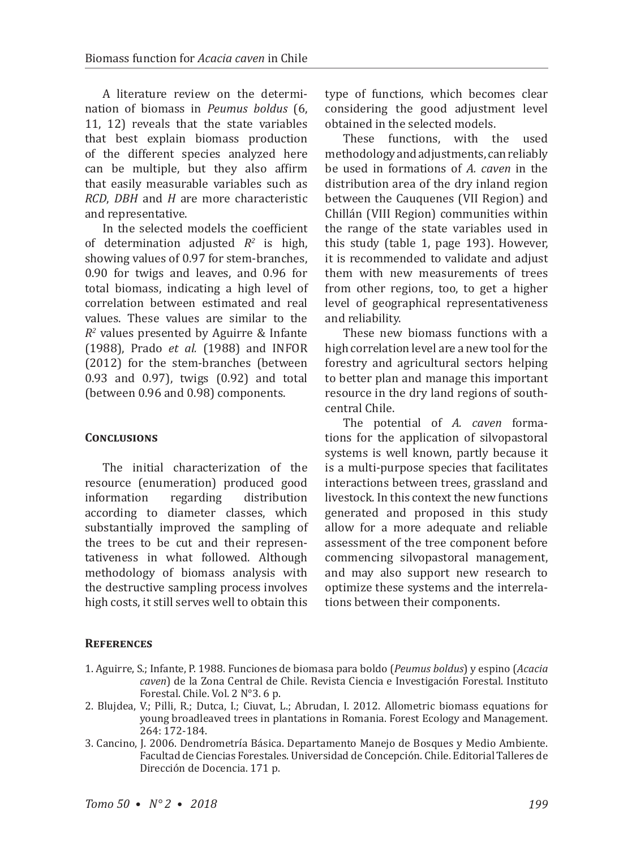A literature review on the determination of biomass in *Peumus boldus* (6, 11, 12) reveals that the state variables that best explain biomass production of the different species analyzed here can be multiple, but they also affirm that easily measurable variables such as *RCD*, *DBH* and *H* are more characteristic and representative.

In the selected models the coefficient of determination adjusted *R<sup>2</sup>* is high, showing values of 0.97 for stem-branches, 0.90 for twigs and leaves, and 0.96 for total biomass, indicating a high level of correlation between estimated and real values. These values are similar to the *R<sup>2</sup>* values presented by Aguirre & Infante (1988), Prado *et al.* (1988) and INFOR (2012) for the stem-branches (between 0.93 and 0.97), twigs (0.92) and total (between 0.96 and 0.98) components.

### **CONCLUSIONS**

The initial characterization of the resource (enumeration) produced good<br>information regarding distribution information according to diameter classes, which substantially improved the sampling of the trees to be cut and their representativeness in what followed. Although methodology of biomass analysis with the destructive sampling process involves high costs, it still serves well to obtain this

type of functions, which becomes clear considering the good adjustment level obtained in the selected models.

These functions, with the used methodology and adjustments, can reliably be used in formations of *A. caven* in the distribution area of the dry inland region between the Cauquenes (VII Region) and Chillán (VIII Region) communities within the range of the state variables used in this study (table 1, page 193). However, it is recommended to validate and adjust them with new measurements of trees from other regions, too, to get a higher level of geographical representativeness and reliability.

These new biomass functions with a high correlation level are a new tool for the forestry and agricultural sectors helping to better plan and manage this important resource in the dry land regions of southcentral Chile.

The potential of *A. caven* formations for the application of silvopastoral systems is well known, partly because it is a multi-purpose species that facilitates interactions between trees, grassland and livestock. In this context the new functions generated and proposed in this study allow for a more adequate and reliable assessment of the tree component before commencing silvopastoral management, and may also support new research to optimize these systems and the interrelations between their components.

### **References**

- 1. Aguirre, S.; Infante, P. 1988. Funciones de biomasa para boldo (*Peumus boldus*) y espino (*Acacia caven*) de la Zona Central de Chile. Revista Ciencia e Investigación Forestal. Instituto Forestal. Chile. Vol. 2 N°3. 6 p.
- 2. Blujdea, V.; Pilli, R.; Dutca, I.; Ciuvat, L.; Abrudan, I. 2012. Allometric biomass equations for young broadleaved trees in plantations in Romania. Forest Ecology and Management. 264: 172-184.
- 3. Cancino, J. 2006. Dendrometría Básica. Departamento Manejo de Bosques y Medio Ambiente. Facultad de Ciencias Forestales. Universidad de Concepción. Chile. Editorial Talleres de Dirección de Docencia. 171 p.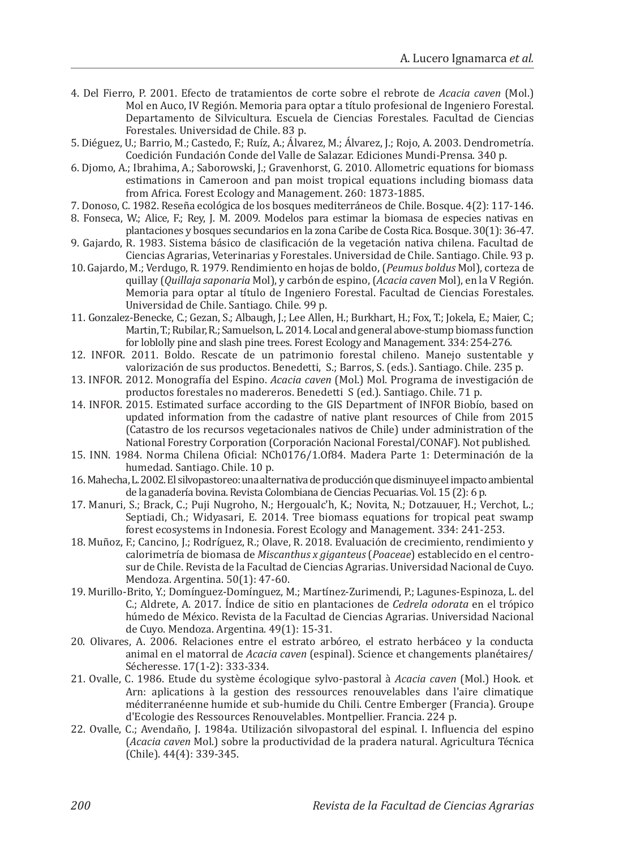- 4. Del Fierro, P. 2001. Efecto de tratamientos de corte sobre el rebrote de *Acacia caven* (Mol.) Mol en Auco, IV Región. Memoria para optar a título profesional de Ingeniero Forestal. Departamento de Silvicultura. Escuela de Ciencias Forestales. Facultad de Ciencias Forestales. Universidad de Chile. 83 p.
- 5. Diéguez, U.; Barrio, M.; Castedo, F.; Ruíz, A.; Álvarez, M.; Álvarez, J.; Rojo, A. 2003. Dendrometría. Coedición Fundación Conde del Valle de Salazar. Ediciones Mundi-Prensa. 340 p.
- 6. Djomo, A.; Ibrahima, A.; Saborowski, J.; Gravenhorst, G. 2010. Allometric equations for biomass estimations in Cameroon and pan moist tropical equations including biomass data from Africa. Forest Ecology and Management. 260: 1873-1885.
- 7. Donoso, C. 1982. Reseña ecológica de los bosques mediterráneos de Chile. Bosque. 4(2): 117-146.
- 8. Fonseca, W.; Alice, F.; Rey, J. M. 2009. Modelos para estimar la biomasa de especies nativas en plantaciones y bosques secundarios en la zona Caribe de Costa Rica. Bosque. 30(1): 36-47.
- 9. Gajardo, R. 1983. Sistema básico de clasificación de la vegetación nativa chilena. Facultad de Ciencias Agrarias, Veterinarias y Forestales. Universidad de Chile. Santiago. Chile. 93 p.
- 10. Gajardo, M.; Verdugo, R. 1979. Rendimiento en hojas de boldo, (*Peumus boldus* Mol), corteza de quillay (*Quillaja saponaria* Mol), y carbón de espino, (*Acacia caven* Mol), en la V Región. Memoria para optar al título de Ingeniero Forestal. Facultad de Ciencias Forestales. Universidad de Chile. Santiago. Chile. 99 p.
- 11. Gonzalez-Benecke, C.; Gezan, S.; Albaugh, J.; Lee Allen, H.; Burkhart, H.; Fox, T.; Jokela, E.; Maier, C.; Martin, T.; Rubilar, R.; Samuelson, L. 2014. Local and general above-stump biomass function for loblolly pine and slash pine trees. Forest Ecology and Management. 334: 254-276.
- 12. INFOR. 2011. Boldo. Rescate de un patrimonio forestal chileno. Manejo sustentable y valorización de sus productos. Benedetti, S.; Barros, S. (eds.). Santiago. Chile. 235 p.
- 13. INFOR. 2012. Monografía del Espino. *Acacia caven* (Mol.) Mol. Programa de investigación de productos forestales no madereros. Benedetti S (ed.). Santiago. Chile. 71 p.
- 14. INFOR. 2015. Estimated surface according to the GIS Department of INFOR Biobío, based on updated information from the cadastre of native plant resources of Chile from 2015 (Catastro de los recursos vegetacionales nativos de Chile) under administration of the National Forestry Corporation (Corporación Nacional Forestal/CONAF). Not published.
- 15. INN. 1984. Norma Chilena Oficial: NCh0176/1.Of84. Madera Parte 1: Determinación de la humedad. Santiago. Chile. 10 p.
- 16. Mahecha, L. 2002. El silvopastoreo: una alternativa de producción que disminuye el impacto ambiental de la ganadería bovina. Revista Colombiana de Ciencias Pecuarias. Vol. 15 (2): 6 p.
- 17. Manuri, S.; Brack, C.; Puji Nugroho, N.; Hergoualc'h, K.; Novita, N.; Dotzauuer, H.; Verchot, L.; Septiadi, Ch.; Widyasari, E. 2014. Tree biomass equations for tropical peat swamp forest ecosystems in Indonesia. Forest Ecology and Management. 334: 241-253.
- 18. Muñoz, F.; Cancino, J.; Rodríguez, R.; Olave, R. 2018. Evaluación de crecimiento, rendimiento y calorimetría de biomasa de *Miscanthus x giganteus* (*Poaceae*) establecido en el centrosur de Chile. Revista de la Facultad de Ciencias Agrarias. Universidad Nacional de Cuyo. Mendoza. Argentina. 50(1): 47-60.
- 19. Murillo-Brito, Y.; Domínguez-Domínguez, M.; Martínez-Zurimendi, P.; Lagunes-Espinoza, L. del C.; Aldrete, A. 2017. Índice de sitio en plantaciones de *Cedrela odorata* en el trópico húmedo de México. Revista de la Facultad de Ciencias Agrarias. Universidad Nacional de Cuyo. Mendoza. Argentina. 49(1): 15-31.
- 20. Olivares, A. 2006. Relaciones entre el estrato arbóreo, el estrato herbáceo y la conducta animal en el matorral de *Acacia caven* (espinal). Science et changements planétaires/ Sécheresse. 17(1-2): 333-334.
- 21. Ovalle, C. 1986. Etude du système écologique sylvo-pastoral à *Acacia caven* (Mol.) Hook. et Arn: aplications à la gestion des ressources renouvelables dans l'aire climatique méditerranéenne humide et sub-humide du Chili. Centre Emberger (Francia). Groupe d'Ecologie des Ressources Renouvelables. Montpellier. Francia. 224 p.
- 22. Ovalle, C.; Avendaño, J. 1984a. Utilización silvopastoral del espinal. I. Influencia del espino (*Acacia caven* Mol.) sobre la productividad de la pradera natural. Agricultura Técnica (Chile). 44(4): 339-345.